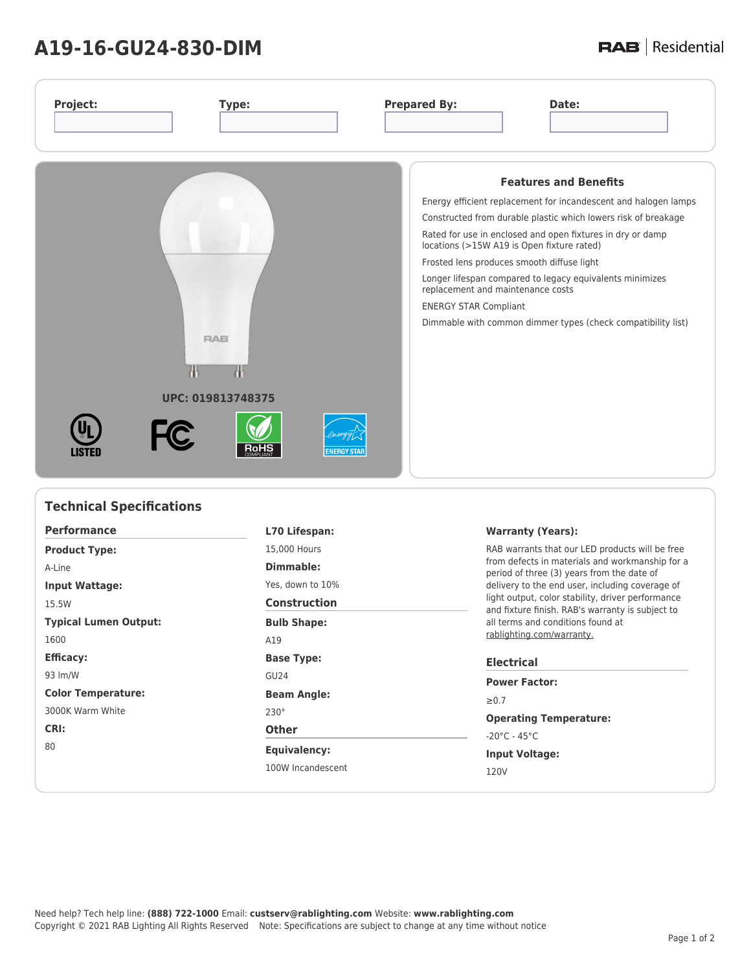## **A19-16-GU24-830-DIM**

## **RAB** | Residential

| Project:          | Type:                           |                    | <b>Prepared By:</b>                                                                                                                                           | Date:                                                                                                                                                                                                                                                                                                                                                       |
|-------------------|---------------------------------|--------------------|---------------------------------------------------------------------------------------------------------------------------------------------------------------|-------------------------------------------------------------------------------------------------------------------------------------------------------------------------------------------------------------------------------------------------------------------------------------------------------------------------------------------------------------|
|                   | <b>RAB</b><br>UPC: 019813748375 |                    | locations (>15W A19 is Open fixture rated)<br>Frosted lens produces smooth diffuse light<br>replacement and maintenance costs<br><b>ENERGY STAR Compliant</b> | <b>Features and Benefits</b><br>Energy efficient replacement for incandescent and halogen lamps<br>Constructed from durable plastic which lowers risk of breakage<br>Rated for use in enclosed and open fixtures in dry or damp<br>Longer lifespan compared to legacy equivalents minimizes<br>Dimmable with common dimmer types (check compatibility list) |
| <b>FC</b><br>1811 |                                 | <b>ENERGY STAR</b> |                                                                                                                                                               |                                                                                                                                                                                                                                                                                                                                                             |

| <b>Technical Specifications</b>       |                     |                                                                                                                                   |  |  |
|---------------------------------------|---------------------|-----------------------------------------------------------------------------------------------------------------------------------|--|--|
| <b>Performance</b>                    | L70 Lifespan:       | <b>Warranty (Years):</b>                                                                                                          |  |  |
| 15,000 Hours<br><b>Product Type:</b>  |                     | RAB warrants that our LED products will be free                                                                                   |  |  |
| A-Line                                | Dimmable:           | from defects in materials and workmanship for a<br>period of three (3) years from the date of                                     |  |  |
| <b>Input Wattage:</b>                 | Yes, down to 10%    | delivery to the end user, including coverage of                                                                                   |  |  |
| 15.5W                                 | <b>Construction</b> | light output, color stability, driver performance<br>and fixture finish. RAB's warranty is subject to                             |  |  |
| <b>Typical Lumen Output:</b>          | <b>Bulb Shape:</b>  | all terms and conditions found at                                                                                                 |  |  |
| 1600                                  | A19                 | rablighting.com/warranty.                                                                                                         |  |  |
| <b>Efficacy:</b><br><b>Base Type:</b> |                     | <b>Electrical</b>                                                                                                                 |  |  |
| 93 lm/W                               | GU <sub>24</sub>    | <b>Power Factor:</b><br>$\geq 0.7$<br><b>Operating Temperature:</b><br>$-20^{\circ}$ C - 45 $^{\circ}$ C<br><b>Input Voltage:</b> |  |  |
| <b>Color Temperature:</b>             | <b>Beam Angle:</b>  |                                                                                                                                   |  |  |
| 3000K Warm White                      | $230^\circ$         |                                                                                                                                   |  |  |
| CRI:<br>80                            | <b>Other</b>        |                                                                                                                                   |  |  |
|                                       | <b>Equivalency:</b> |                                                                                                                                   |  |  |
|                                       | 100W Incandescent   | 120V                                                                                                                              |  |  |